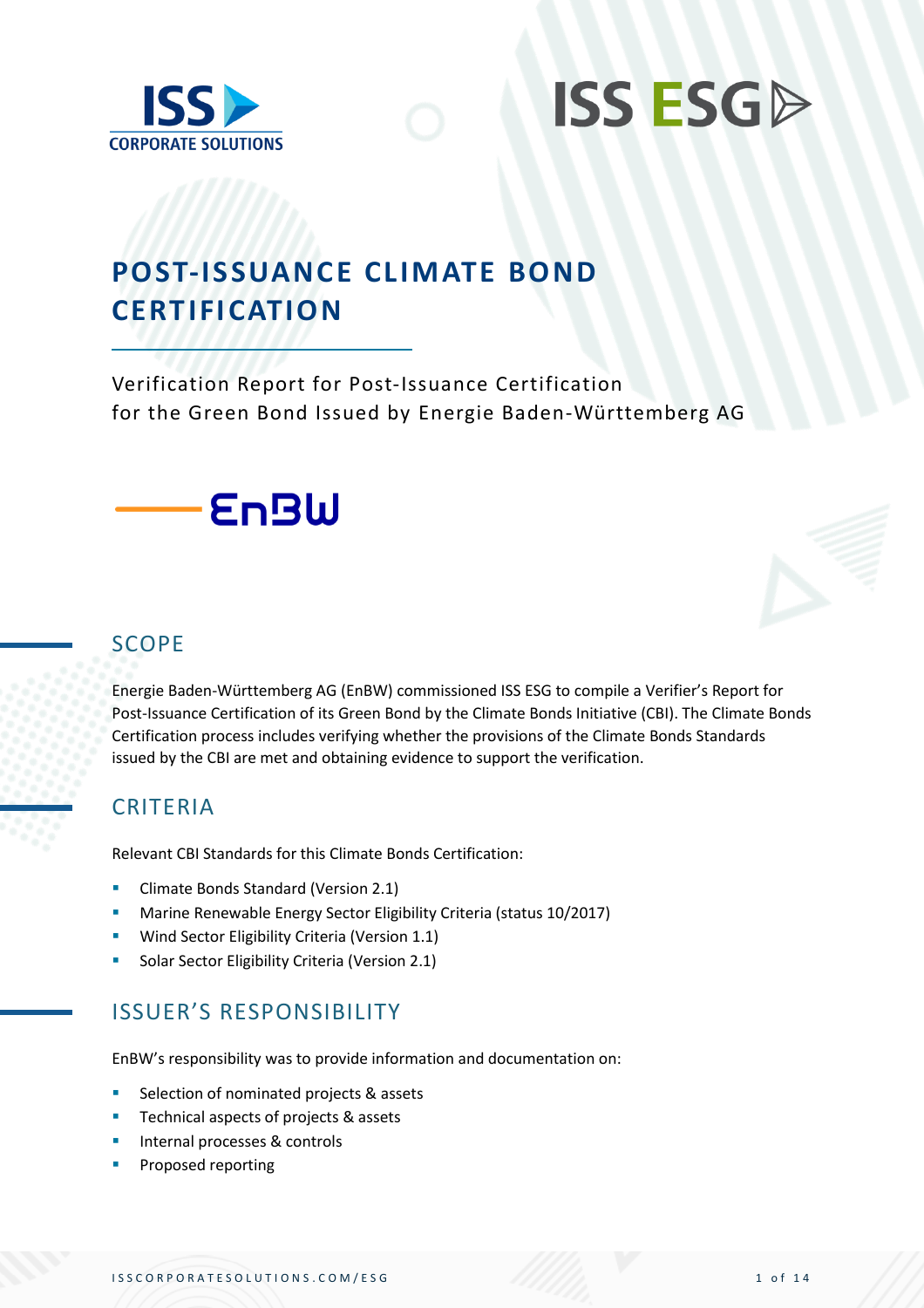



## **POST-ISSUANCE CLIMATE BOND CERTIFICATION**

Verification Report for Post-Issuance Certification for the Green Bond Issued by Energie Baden-Württemberg AG



#### SCOPE

Energie Baden-Württemberg AG (EnBW) commissioned ISS ESG to compile a Verifier's Report for Post-Issuance Certification of its Green Bond by the Climate Bonds Initiative (CBI). The Climate Bonds Certification process includes verifying whether the provisions of the Climate Bonds Standards issued by the CBI are met and obtaining evidence to support the verification.

#### CRITERIA

Relevant CBI Standards for this Climate Bonds Certification:

- **E** Climate Bonds Standard (Version 2.1)
- Marine Renewable Energy Sector Eligibility Criteria (status 10/2017)
- **■** Wind Sector Eligibility Criteria (Version 1.1)
- **Solar Sector Eligibility Criteria (Version 2.1)**

#### ISSUER'S RESPONSIBILITY

EnBW's responsibility was to provide information and documentation on:

- Selection of nominated projects & assets
- Technical aspects of projects & assets
- Internal processes & controls
- Proposed reporting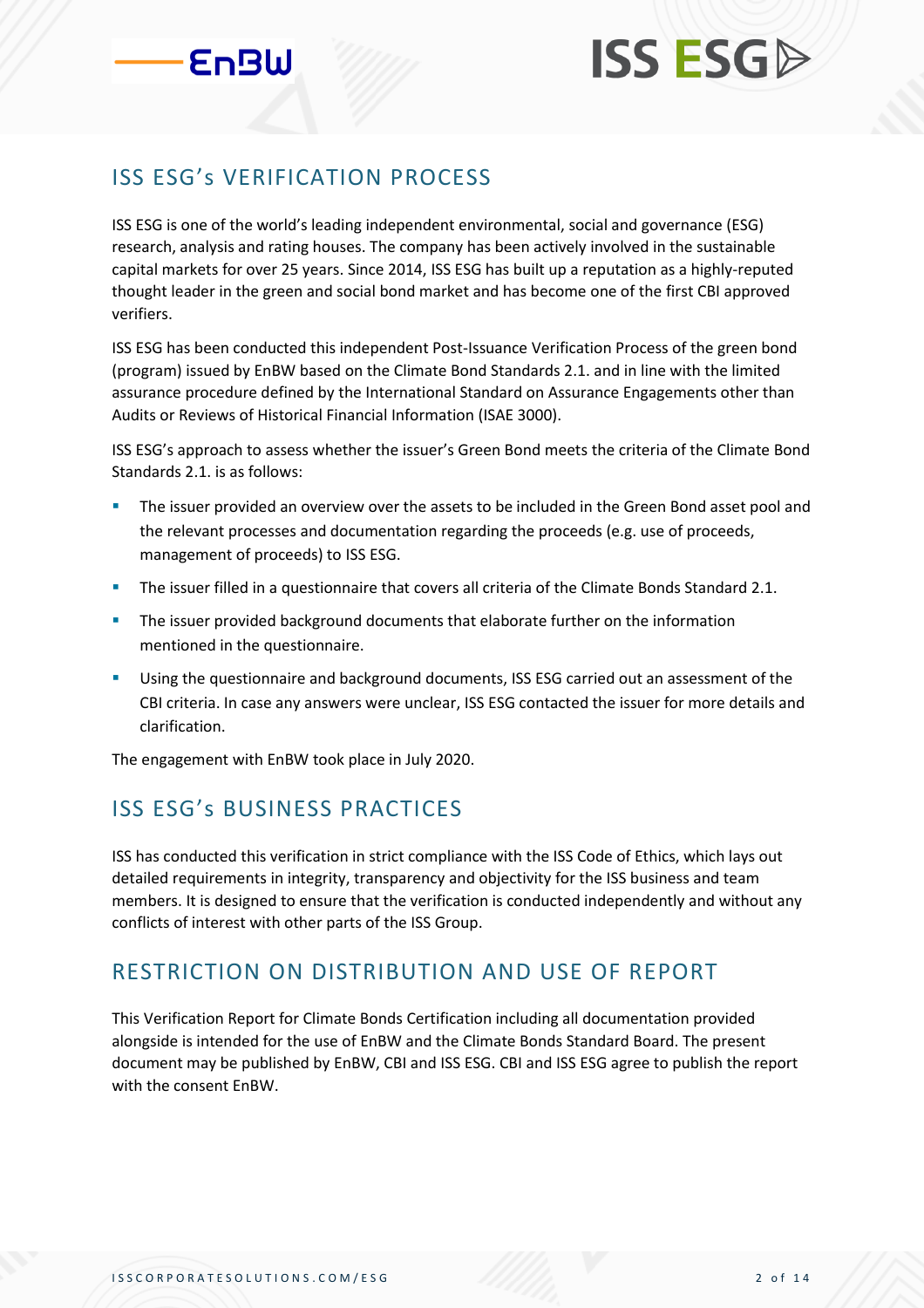#### ISS ESG's VERIFICATION PROCESS

ISS ESG is one of the world's leading independent environmental, social and governance (ESG) research, analysis and rating houses. The company has been actively involved in the sustainable capital markets for over 25 years. Since 2014, ISS ESG has built up a reputation as a highly-reputed thought leader in the green and social bond market and has become one of the first CBI approved verifiers.

ISS ESG has been conducted this independent Post-Issuance Verification Process of the green bond (program) issued by EnBW based on the Climate Bond Standards 2.1. and in line with the limited assurance procedure defined by the International Standard on Assurance Engagements other than Audits or Reviews of Historical Financial Information (ISAE 3000).

ISS ESG's approach to assess whether the issuer's Green Bond meets the criteria of the Climate Bond Standards 2.1. is as follows:

- The issuer provided an overview over the assets to be included in the Green Bond asset pool and the relevant processes and documentation regarding the proceeds (e.g. use of proceeds, management of proceeds) to ISS ESG.
- **•** The issuer filled in a questionnaire that covers all criteria of the Climate Bonds Standard 2.1.
- **•** The issuer provided background documents that elaborate further on the information mentioned in the questionnaire.
- **EXECUTE:** Using the questionnaire and background documents, ISS ESG carried out an assessment of the CBI criteria. In case any answers were unclear, ISS ESG contacted the issuer for more details and clarification.

The engagement with EnBW took place in July 2020.

#### ISS ESG's BUSINESS PRACTICES

ISS has conducted this verification in strict compliance with the ISS Code of Ethics, which lays out detailed requirements in integrity, transparency and objectivity for the ISS business and team members. It is designed to ensure that the verification is conducted independently and without any conflicts of interest with other parts of the ISS Group.

#### RESTRICTION ON DISTRIBUTION AND USE OF REPORT

This Verification Report for Climate Bonds Certification including all documentation provided alongside is intended for the use of EnBW and the Climate Bonds Standard Board. The present document may be published by EnBW, CBI and ISS ESG. CBI and ISS ESG agree to publish the report with the consent EnBW.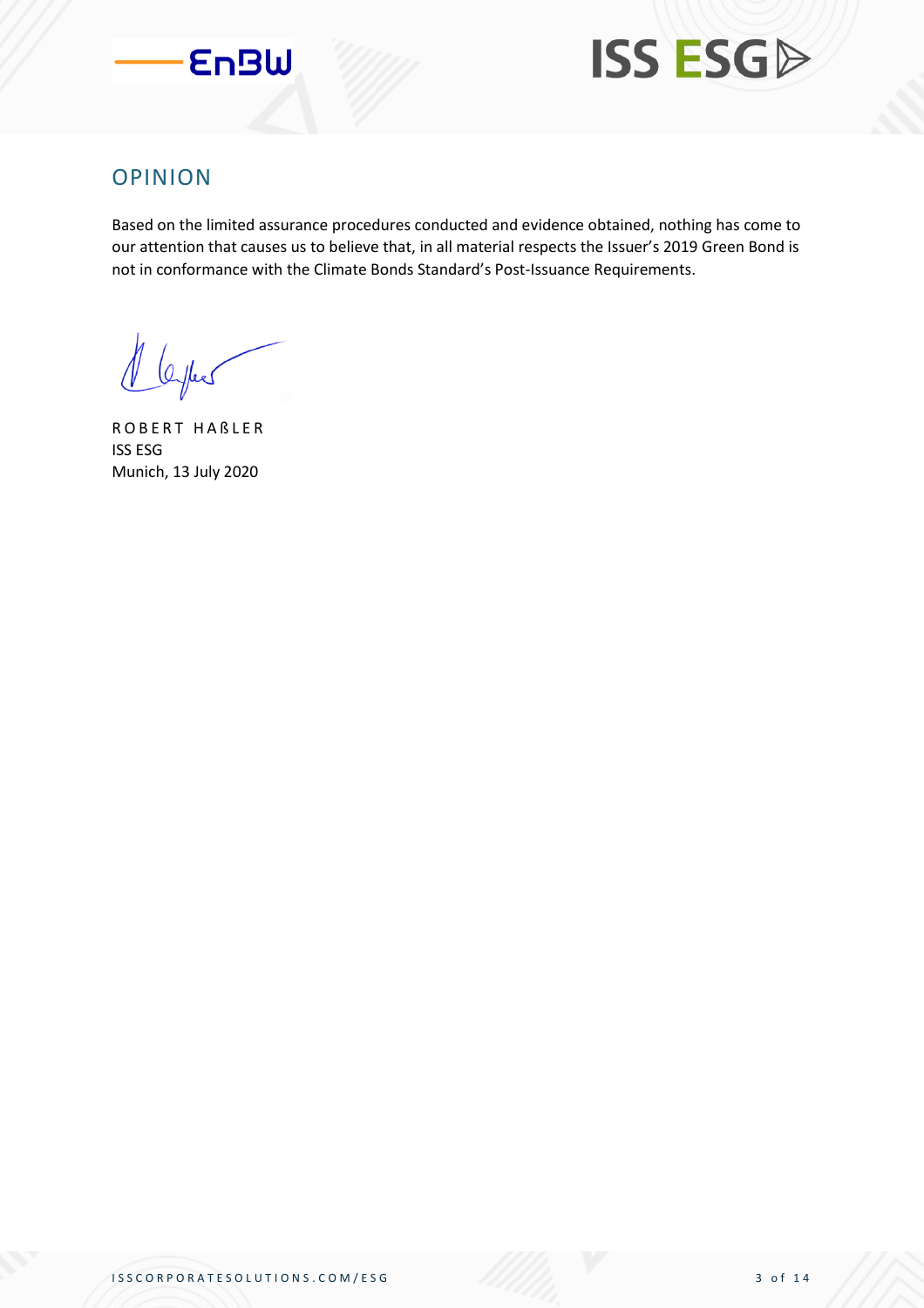



#### OPINION

Based on the limited assurance procedures conducted and evidence obtained, nothing has come to our attention that causes us to believe that, in all material respects the Issuer's 2019 Green Bond is not in conformance with the Climate Bonds Standard's Post-Issuance Requirements.

1 leyles

ROBERT HABLER ISS ESG Munich, 13 July 2020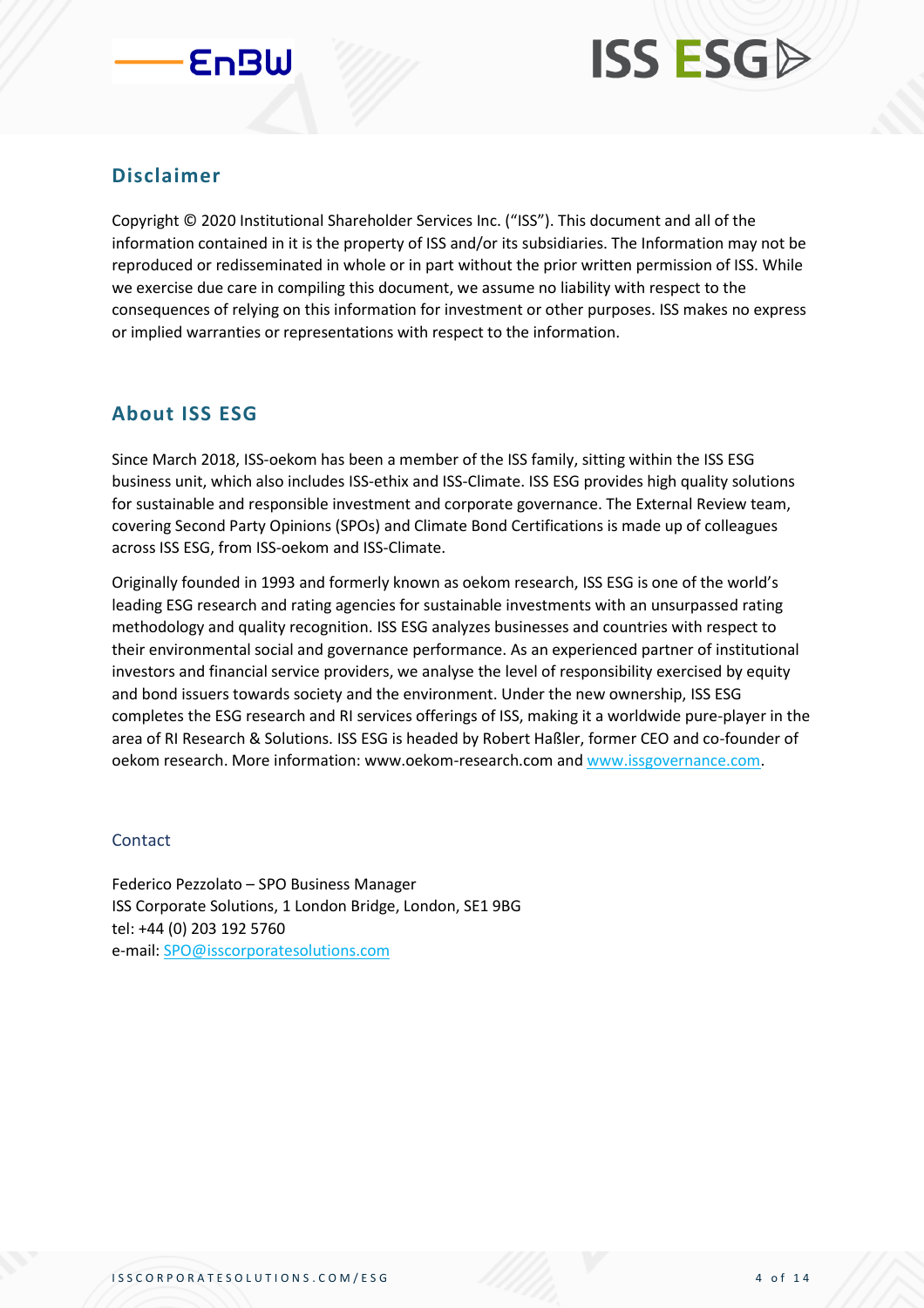

#### **Disclaimer**

Copyright © 2020 Institutional Shareholder Services Inc. ("ISS"). This document and all of the information contained in it is the property of ISS and/or its subsidiaries. The Information may not be reproduced or redisseminated in whole or in part without the prior written permission of ISS. While we exercise due care in compiling this document, we assume no liability with respect to the consequences of relying on this information for investment or other purposes. ISS makes no express or implied warranties or representations with respect to the information.

#### **About ISS ESG**

Since March 2018, ISS-oekom has been a member of the ISS family, sitting within the ISS ESG business unit, which also includes ISS-ethix and ISS-Climate. ISS ESG provides high quality solutions for sustainable and responsible investment and corporate governance. The External Review team, covering Second Party Opinions (SPOs) and Climate Bond Certifications is made up of colleagues across ISS ESG, from ISS-oekom and ISS-Climate.

Originally founded in 1993 and formerly known as oekom research, ISS ESG is one of the world's leading ESG research and rating agencies for sustainable investments with an unsurpassed rating methodology and quality recognition. ISS ESG analyzes businesses and countries with respect to their environmental social and governance performance. As an experienced partner of institutional investors and financial service providers, we analyse the level of responsibility exercised by equity and bond issuers towards society and the environment. Under the new ownership, ISS ESG completes the ESG research and RI services offerings of ISS, making it a worldwide pure-player in the area of RI Research & Solutions. ISS ESG is headed by Robert Haßler, former CEO and co-founder of oekom research. More information: www.oekom-research.com and [www.issgovernance.com.](http://www.issgovernance.com/)

#### Contact

Federico Pezzolato – SPO Business Manager ISS Corporate Solutions, 1 London Bridge, London, SE1 9BG tel: +44 (0) 203 192 5760 e-mail: [SPO@isscorporatesolutions.com](mailto:SPO@isscorporatesolutions.com)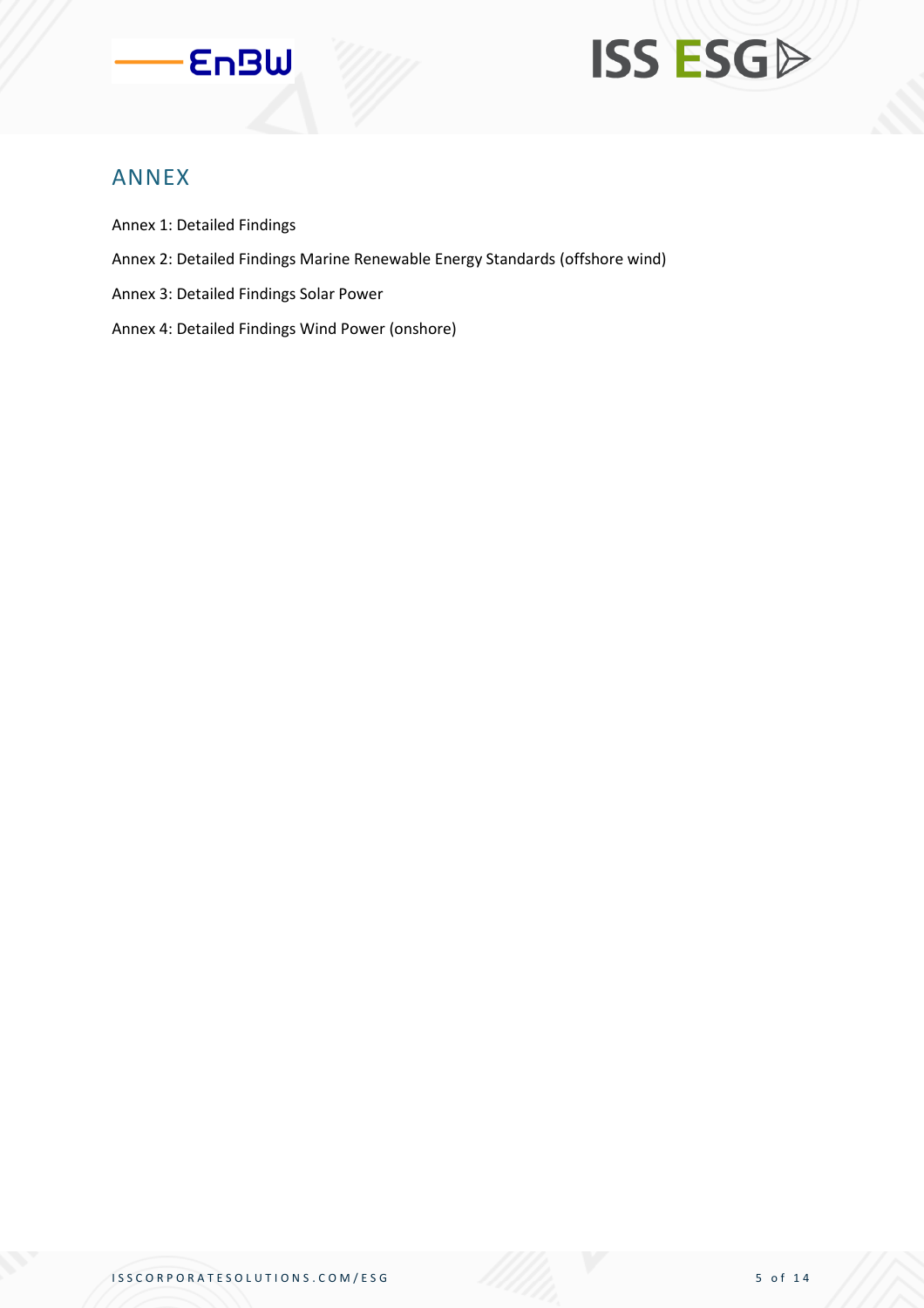

#### ANNEX

- Annex 1: Detailed Findings
- Annex 2: Detailed Findings Marine Renewable Energy Standards (offshore wind)
- Annex 3: Detailed Findings Solar Power
- Annex 4: Detailed Findings Wind Power (onshore)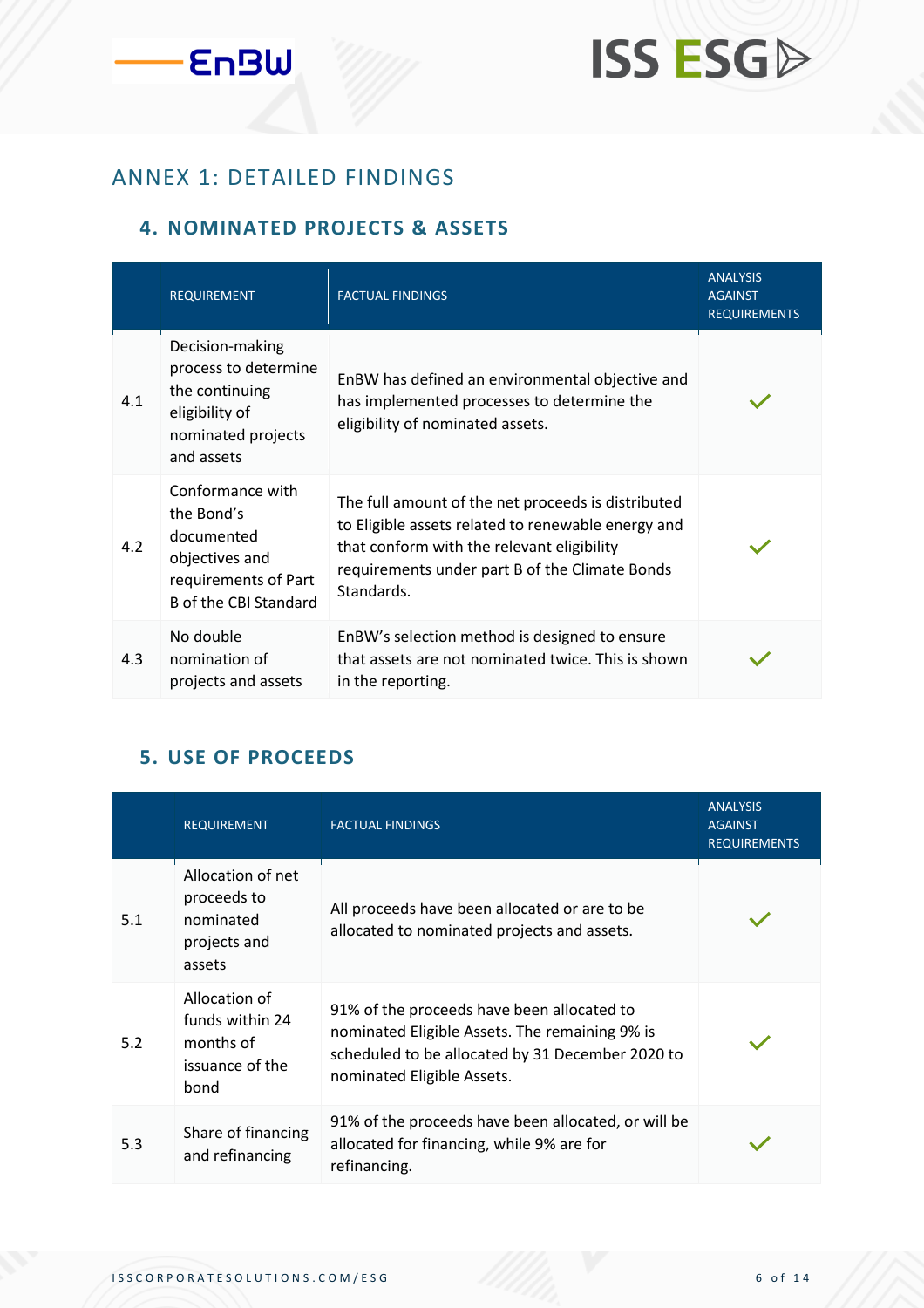## **ISS ESGP**

#### ANNEX 1: DETAILED FINDINGS

#### **4. NOMINATED PROJECTS & ASSETS**

|     | <b>REQUIREMENT</b>                                                                                              | <b>FACTUAL FINDINGS</b>                                                                                                                                                                                                | <b>ANALYSIS</b><br><b>AGAINST</b><br><b>REQUIREMENTS</b> |
|-----|-----------------------------------------------------------------------------------------------------------------|------------------------------------------------------------------------------------------------------------------------------------------------------------------------------------------------------------------------|----------------------------------------------------------|
| 4.1 | Decision-making<br>process to determine<br>the continuing<br>eligibility of<br>nominated projects<br>and assets | EnBW has defined an environmental objective and<br>has implemented processes to determine the<br>eligibility of nominated assets.                                                                                      |                                                          |
| 4.2 | Conformance with<br>the Bond's<br>documented<br>objectives and<br>requirements of Part<br>B of the CBI Standard | The full amount of the net proceeds is distributed<br>to Eligible assets related to renewable energy and<br>that conform with the relevant eligibility<br>requirements under part B of the Climate Bonds<br>Standards. |                                                          |
| 4.3 | No double<br>nomination of<br>projects and assets                                                               | EnBW's selection method is designed to ensure<br>that assets are not nominated twice. This is shown<br>in the reporting.                                                                                               |                                                          |

#### **5. USE OF PROCEEDS**

|     | <b>REQUIREMENT</b>                                                       | <b>FACTUAL FINDINGS</b>                                                                                                                                                        | <b>ANALYSIS</b><br><b>AGAINST</b><br><b>REQUIREMENTS</b> |
|-----|--------------------------------------------------------------------------|--------------------------------------------------------------------------------------------------------------------------------------------------------------------------------|----------------------------------------------------------|
| 5.1 | Allocation of net<br>proceeds to<br>nominated<br>projects and<br>assets  | All proceeds have been allocated or are to be<br>allocated to nominated projects and assets.                                                                                   |                                                          |
| 5.2 | Allocation of<br>funds within 24<br>months of<br>issuance of the<br>bond | 91% of the proceeds have been allocated to<br>nominated Eligible Assets. The remaining 9% is<br>scheduled to be allocated by 31 December 2020 to<br>nominated Eligible Assets. |                                                          |
| 5.3 | Share of financing<br>and refinancing                                    | 91% of the proceeds have been allocated, or will be<br>allocated for financing, while 9% are for<br>refinancing.                                                               |                                                          |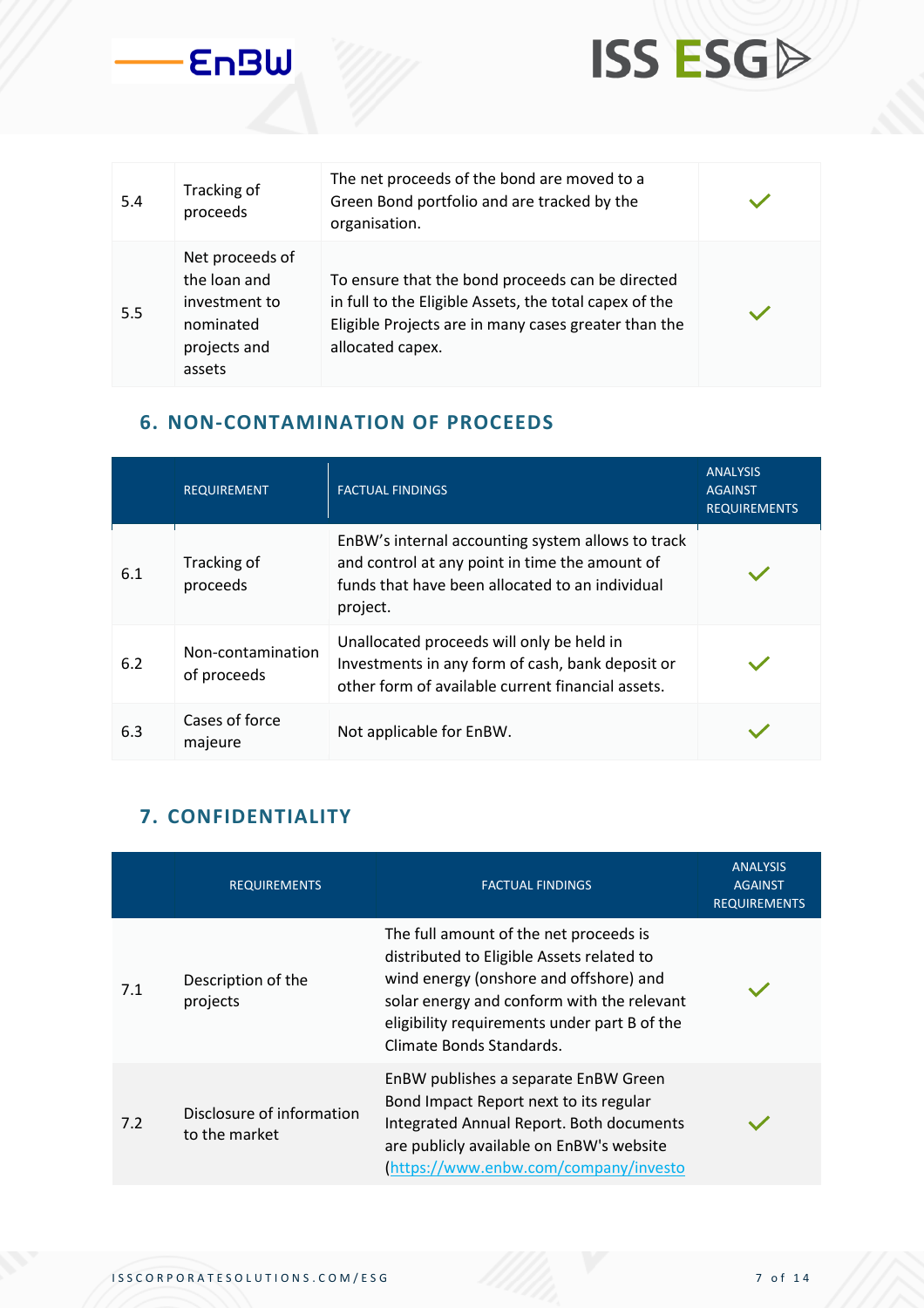

**ISS ESGA** 

#### **6. NON-CONTAMINATION OF PROCEEDS**

|     | <b>REQUIREMENT</b>               | <b>FACTUAL FINDINGS</b>                                                                                                                                            | <b>ANALYSIS</b><br><b>AGAINST</b><br><b>REQUIREMENTS</b> |
|-----|----------------------------------|--------------------------------------------------------------------------------------------------------------------------------------------------------------------|----------------------------------------------------------|
| 6.1 | Tracking of<br>proceeds          | EnBW's internal accounting system allows to track<br>and control at any point in time the amount of<br>funds that have been allocated to an individual<br>project. |                                                          |
| 6.2 | Non-contamination<br>of proceeds | Unallocated proceeds will only be held in<br>Investments in any form of cash, bank deposit or<br>other form of available current financial assets.                 |                                                          |
| 6.3 | Cases of force<br>majeure        | Not applicable for EnBW.                                                                                                                                           |                                                          |

#### **7. CONFIDENTIALITY**

**EnBW** 

|     | <b>REQUIREMENTS</b>                        | <b>FACTUAL FINDINGS</b>                                                                                                                                                                                                                                 | <b>ANALYSIS</b><br><b>AGAINST</b><br><b>REQUIREMENTS</b> |
|-----|--------------------------------------------|---------------------------------------------------------------------------------------------------------------------------------------------------------------------------------------------------------------------------------------------------------|----------------------------------------------------------|
| 7.1 | Description of the<br>projects             | The full amount of the net proceeds is<br>distributed to Eligible Assets related to<br>wind energy (onshore and offshore) and<br>solar energy and conform with the relevant<br>eligibility requirements under part B of the<br>Climate Bonds Standards. |                                                          |
| 7.2 | Disclosure of information<br>to the market | EnBW publishes a separate EnBW Green<br>Bond Impact Report next to its regular<br>Integrated Annual Report. Both documents<br>are publicly available on EnBW's website<br>(https://www.enbw.com/company/investo                                         |                                                          |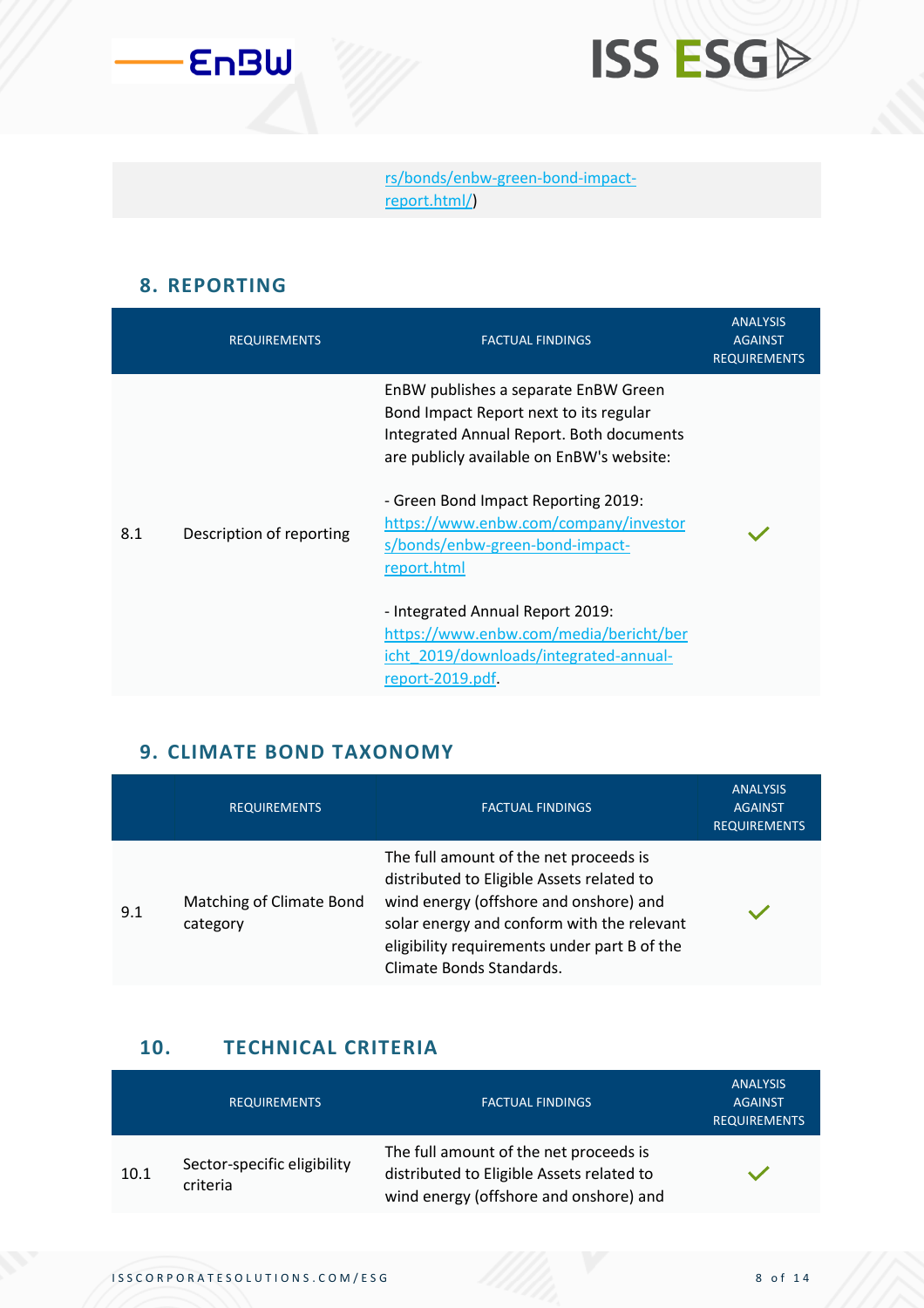



[rs/bonds/enbw-green-bond-impact](https://www.enbw.com/company/investors/news-and-publications/publications/)[report.html/\)](https://www.enbw.com/company/investors/news-and-publications/publications/)

#### **8. REPORTING**

|     | <b>REQUIREMENTS</b>      | <b>FACTUAL FINDINGS</b>                                                                                                                                                 | <b>ANALYSIS</b><br><b>AGAINST</b><br><b>REQUIREMENTS</b> |
|-----|--------------------------|-------------------------------------------------------------------------------------------------------------------------------------------------------------------------|----------------------------------------------------------|
|     |                          | EnBW publishes a separate EnBW Green<br>Bond Impact Report next to its regular<br>Integrated Annual Report. Both documents<br>are publicly available on EnBW's website: |                                                          |
| 8.1 | Description of reporting | - Green Bond Impact Reporting 2019:<br>https://www.enbw.com/company/investor<br>s/bonds/enbw-green-bond-impact-<br>report.html                                          |                                                          |
|     |                          | - Integrated Annual Report 2019:<br>https://www.enbw.com/media/bericht/ber<br>icht 2019/downloads/integrated-annual-<br>report-2019.pdf.                                |                                                          |

#### **9. CLIMATE BOND TAXONOMY**

|     | <b>REQUIREMENTS</b>                  | <b>FACTUAL FINDINGS</b>                                                                                                                                                                                                                                 | <b>ANALYSIS</b><br><b>AGAINST</b><br><b>REQUIREMENTS</b> |
|-----|--------------------------------------|---------------------------------------------------------------------------------------------------------------------------------------------------------------------------------------------------------------------------------------------------------|----------------------------------------------------------|
| 9.1 | Matching of Climate Bond<br>category | The full amount of the net proceeds is<br>distributed to Eligible Assets related to<br>wind energy (offshore and onshore) and<br>solar energy and conform with the relevant<br>eligibility requirements under part B of the<br>Climate Bonds Standards. |                                                          |

#### **10. TECHNICAL CRITERIA**

|      | <b>REQUIREMENTS</b>                     | <b>FACTUAL FINDINGS</b>                                                                                                       | <b>ANALYSIS</b><br><b>AGAINST</b><br><b>REQUIREMENTS</b> |
|------|-----------------------------------------|-------------------------------------------------------------------------------------------------------------------------------|----------------------------------------------------------|
| 10.1 | Sector-specific eligibility<br>criteria | The full amount of the net proceeds is<br>distributed to Eligible Assets related to<br>wind energy (offshore and onshore) and |                                                          |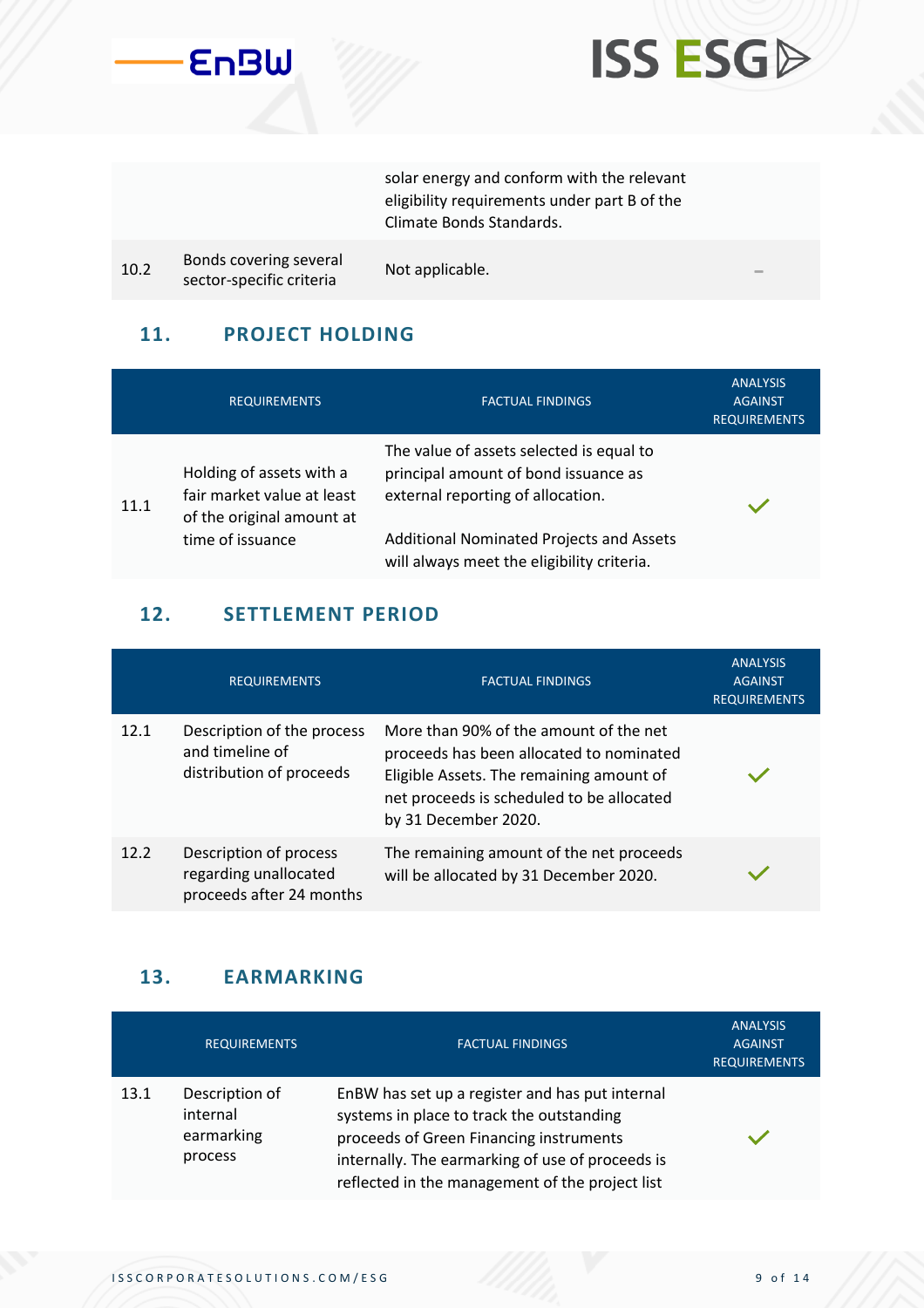



solar energy and conform with the relevant eligibility requirements under part B of the Climate Bonds Standards.

10.2 Bonds covering several sonus covering several Mot applicable.<br>sector-specific criteria

#### **11. PROJECT HOLDING**

|      | <b>REQUIREMENTS</b>                                                                 | <b>FACTUAL FINDINGS</b>                                                                                               | <b>ANALYSIS</b><br><b>AGAINST</b><br><b>REQUIREMENTS</b> |
|------|-------------------------------------------------------------------------------------|-----------------------------------------------------------------------------------------------------------------------|----------------------------------------------------------|
| 11.1 | Holding of assets with a<br>fair market value at least<br>of the original amount at | The value of assets selected is equal to<br>principal amount of bond issuance as<br>external reporting of allocation. |                                                          |
|      | time of issuance                                                                    | <b>Additional Nominated Projects and Assets</b><br>will always meet the eligibility criteria.                         |                                                          |

#### **12. SETTLEMENT PERIOD**

|      | <b>REQUIREMENTS</b>                                                         | <b>FACTUAL FINDINGS</b>                                                                                                                                                                             | <b>ANALYSIS</b><br><b>AGAINST</b><br><b>REQUIREMENTS</b> |
|------|-----------------------------------------------------------------------------|-----------------------------------------------------------------------------------------------------------------------------------------------------------------------------------------------------|----------------------------------------------------------|
| 12.1 | Description of the process<br>and timeline of<br>distribution of proceeds   | More than 90% of the amount of the net<br>proceeds has been allocated to nominated<br>Eligible Assets. The remaining amount of<br>net proceeds is scheduled to be allocated<br>by 31 December 2020. |                                                          |
| 12.2 | Description of process<br>regarding unallocated<br>proceeds after 24 months | The remaining amount of the net proceeds<br>will be allocated by 31 December 2020.                                                                                                                  |                                                          |

#### **13. EARMARKING**

|      | <b>REQUIREMENTS</b>                                 | <b>FACTUAL FINDINGS</b>                                                                                                                                                                                                                        | <b>ANALYSIS</b><br><b>AGAINST</b><br><b>REQUIREMENTS</b> |
|------|-----------------------------------------------------|------------------------------------------------------------------------------------------------------------------------------------------------------------------------------------------------------------------------------------------------|----------------------------------------------------------|
| 13.1 | Description of<br>internal<br>earmarking<br>process | EnBW has set up a register and has put internal<br>systems in place to track the outstanding<br>proceeds of Green Financing instruments<br>internally. The earmarking of use of proceeds is<br>reflected in the management of the project list |                                                          |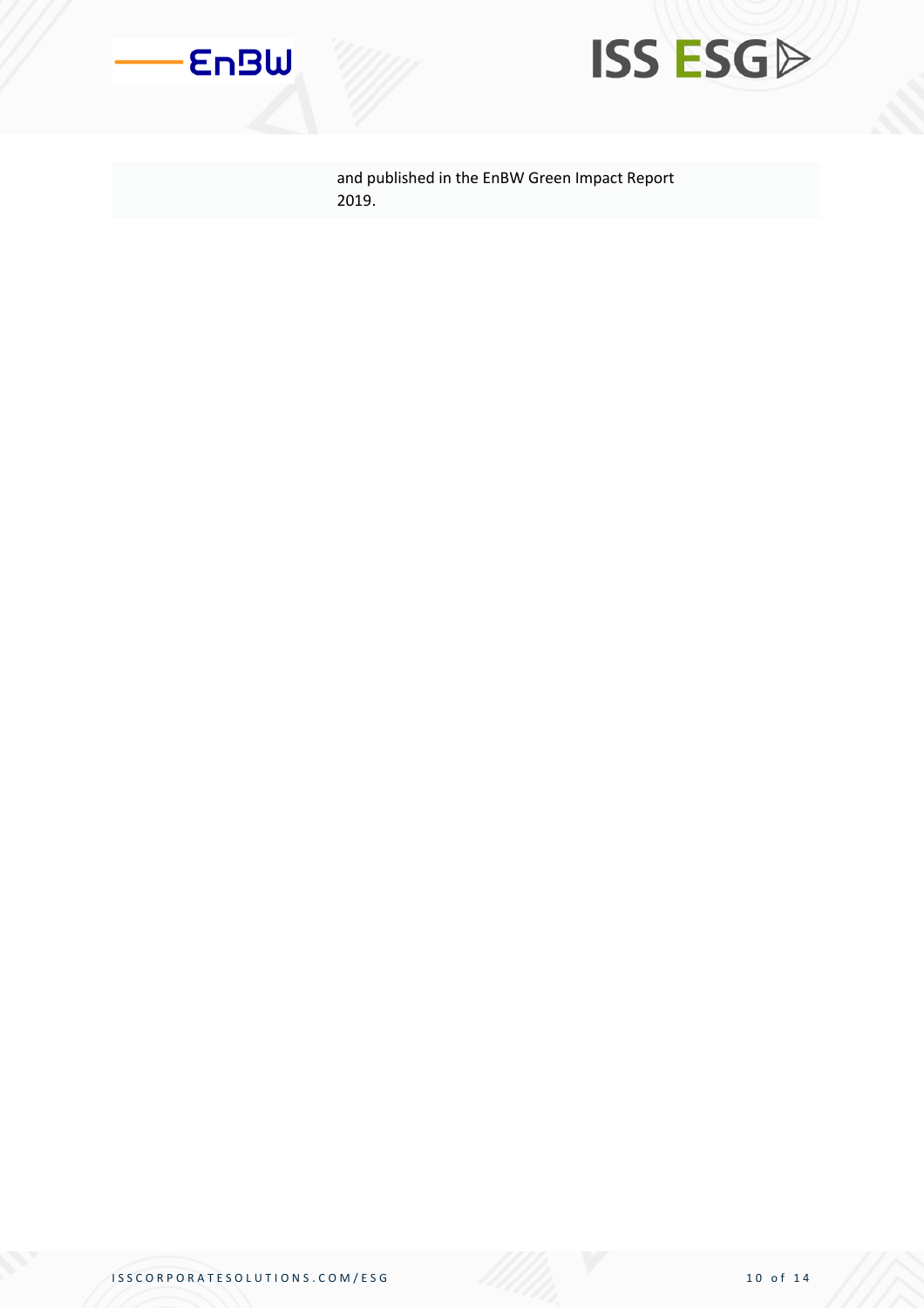



and published in the EnBW Green Impact Report 2019.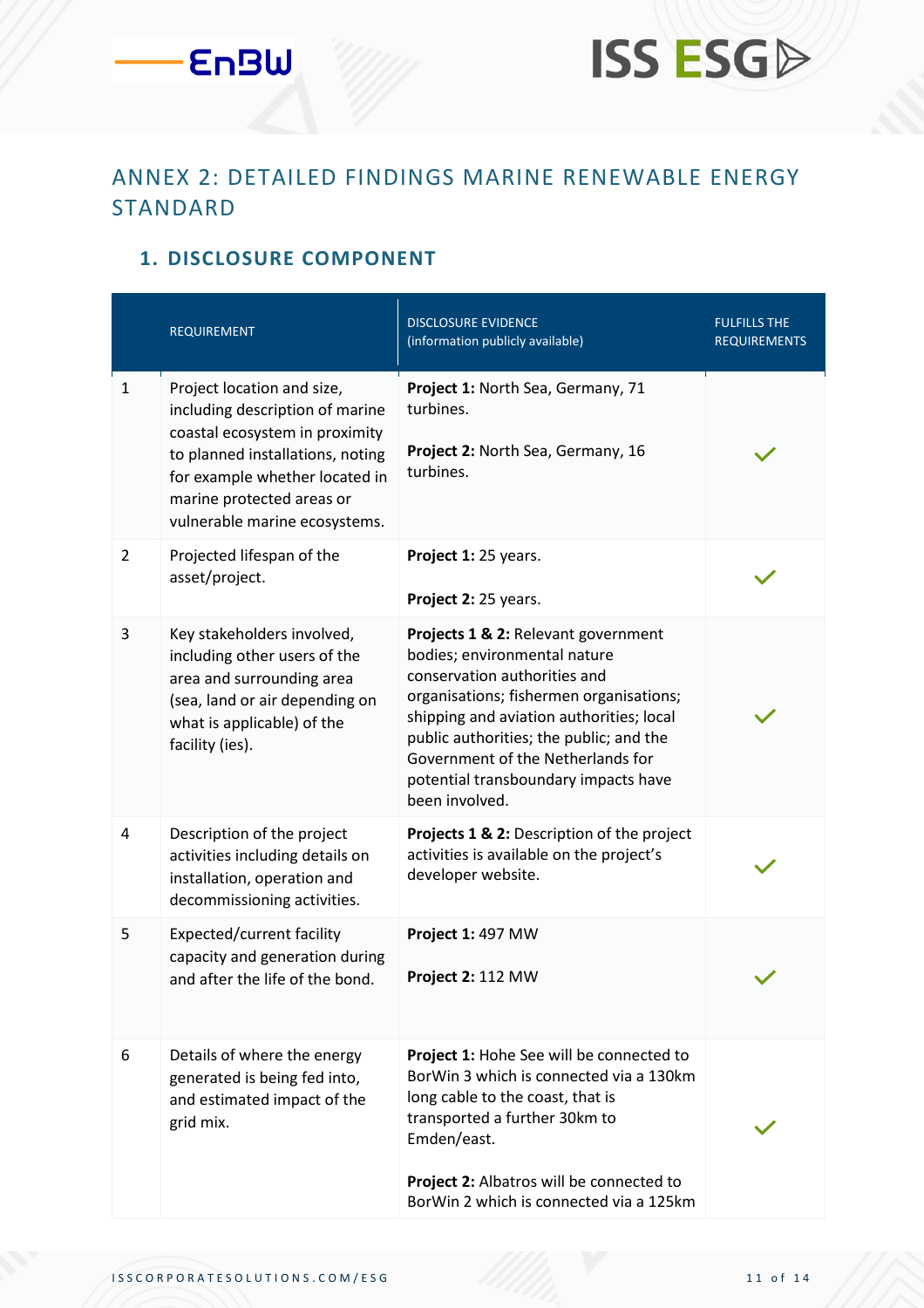# **ISS ESGP**

#### ANNEX 2: DETAILED FINDINGS MARINE RENEWABLE ENERGY STANDARD

#### **1. DISCLOSURE COMPONENT**

|                | <b>REQUIREMENT</b>                                                                                                                                                                                                                  | <b>DISCLOSURE EVIDENCE</b><br>(information publicly available)                                                                                                                                                                                                                                                                       | <b>FULFILLS THE</b><br><b>REQUIREMENTS</b> |
|----------------|-------------------------------------------------------------------------------------------------------------------------------------------------------------------------------------------------------------------------------------|--------------------------------------------------------------------------------------------------------------------------------------------------------------------------------------------------------------------------------------------------------------------------------------------------------------------------------------|--------------------------------------------|
| $\mathbf{1}$   | Project location and size,<br>including description of marine<br>coastal ecosystem in proximity<br>to planned installations, noting<br>for example whether located in<br>marine protected areas or<br>vulnerable marine ecosystems. | Project 1: North Sea, Germany, 71<br>turbines.<br>Project 2: North Sea, Germany, 16<br>turbines.                                                                                                                                                                                                                                     |                                            |
| $\overline{2}$ | Projected lifespan of the<br>asset/project.                                                                                                                                                                                         | Project 1: 25 years.<br>Project 2: 25 years.                                                                                                                                                                                                                                                                                         |                                            |
| 3              | Key stakeholders involved,<br>including other users of the<br>area and surrounding area<br>(sea, land or air depending on<br>what is applicable) of the<br>facility (ies).                                                          | Projects 1 & 2: Relevant government<br>bodies; environmental nature<br>conservation authorities and<br>organisations; fishermen organisations;<br>shipping and aviation authorities; local<br>public authorities; the public; and the<br>Government of the Netherlands for<br>potential transboundary impacts have<br>been involved. |                                            |
| $\overline{4}$ | Description of the project<br>activities including details on<br>installation, operation and<br>decommissioning activities.                                                                                                         | Projects 1 & 2: Description of the project<br>activities is available on the project's<br>developer website.                                                                                                                                                                                                                         |                                            |
| 5              | Expected/current facility<br>capacity and generation during<br>and after the life of the bond.                                                                                                                                      | Project 1: 497 MW<br>Project 2: 112 MW                                                                                                                                                                                                                                                                                               |                                            |
| 6              | Details of where the energy<br>generated is being fed into,<br>and estimated impact of the<br>grid mix.                                                                                                                             | Project 1: Hohe See will be connected to<br>BorWin 3 which is connected via a 130km<br>long cable to the coast, that is<br>transported a further 30km to<br>Emden/east.<br>Project 2: Albatros will be connected to<br>BorWin 2 which is connected via a 125km                                                                       |                                            |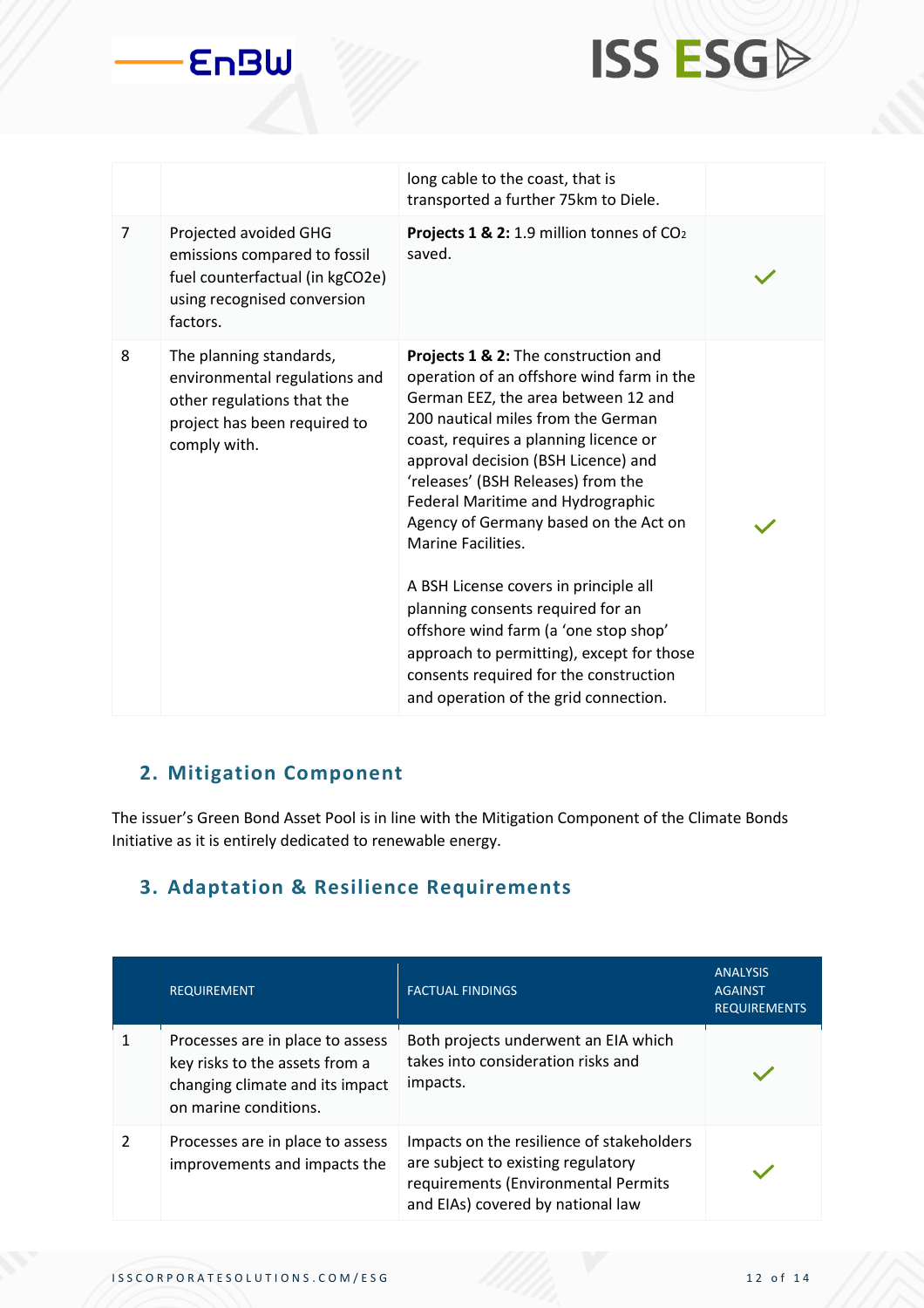



|   |                                                                                                                                        | long cable to the coast, that is<br>transported a further 75km to Diele.                                                                                                                                                                                                                                                                                                                                                                                                                                                                                                                                                                               |  |
|---|----------------------------------------------------------------------------------------------------------------------------------------|--------------------------------------------------------------------------------------------------------------------------------------------------------------------------------------------------------------------------------------------------------------------------------------------------------------------------------------------------------------------------------------------------------------------------------------------------------------------------------------------------------------------------------------------------------------------------------------------------------------------------------------------------------|--|
| 7 | Projected avoided GHG<br>emissions compared to fossil<br>fuel counterfactual (in kgCO2e)<br>using recognised conversion<br>factors.    | Projects 1 & 2: 1.9 million tonnes of CO2<br>saved.                                                                                                                                                                                                                                                                                                                                                                                                                                                                                                                                                                                                    |  |
| 8 | The planning standards,<br>environmental regulations and<br>other regulations that the<br>project has been required to<br>comply with. | Projects 1 & 2: The construction and<br>operation of an offshore wind farm in the<br>German EEZ, the area between 12 and<br>200 nautical miles from the German<br>coast, requires a planning licence or<br>approval decision (BSH Licence) and<br>'releases' (BSH Releases) from the<br>Federal Maritime and Hydrographic<br>Agency of Germany based on the Act on<br><b>Marine Facilities.</b><br>A BSH License covers in principle all<br>planning consents required for an<br>offshore wind farm (a 'one stop shop'<br>approach to permitting), except for those<br>consents required for the construction<br>and operation of the grid connection. |  |

#### **2. Mitigation Component**

The issuer's Green Bond Asset Pool is in line with the Mitigation Component of the Climate Bonds Initiative as it is entirely dedicated to renewable energy.

#### **3. Adaptation & Resilience Requirements**

|               | <b>REQUIREMENT</b>                                                                                                             | <b>FACTUAL FINDINGS</b>                                                                                                                                     | <b>ANALYSIS</b><br><b>AGAINST</b><br><b>REQUIREMENTS</b> |
|---------------|--------------------------------------------------------------------------------------------------------------------------------|-------------------------------------------------------------------------------------------------------------------------------------------------------------|----------------------------------------------------------|
|               | Processes are in place to assess<br>key risks to the assets from a<br>changing climate and its impact<br>on marine conditions. | Both projects underwent an EIA which<br>takes into consideration risks and<br>impacts.                                                                      |                                                          |
| $\mathcal{P}$ | Processes are in place to assess<br>improvements and impacts the                                                               | Impacts on the resilience of stakeholders<br>are subject to existing regulatory<br>requirements (Environmental Permits<br>and EIAs) covered by national law |                                                          |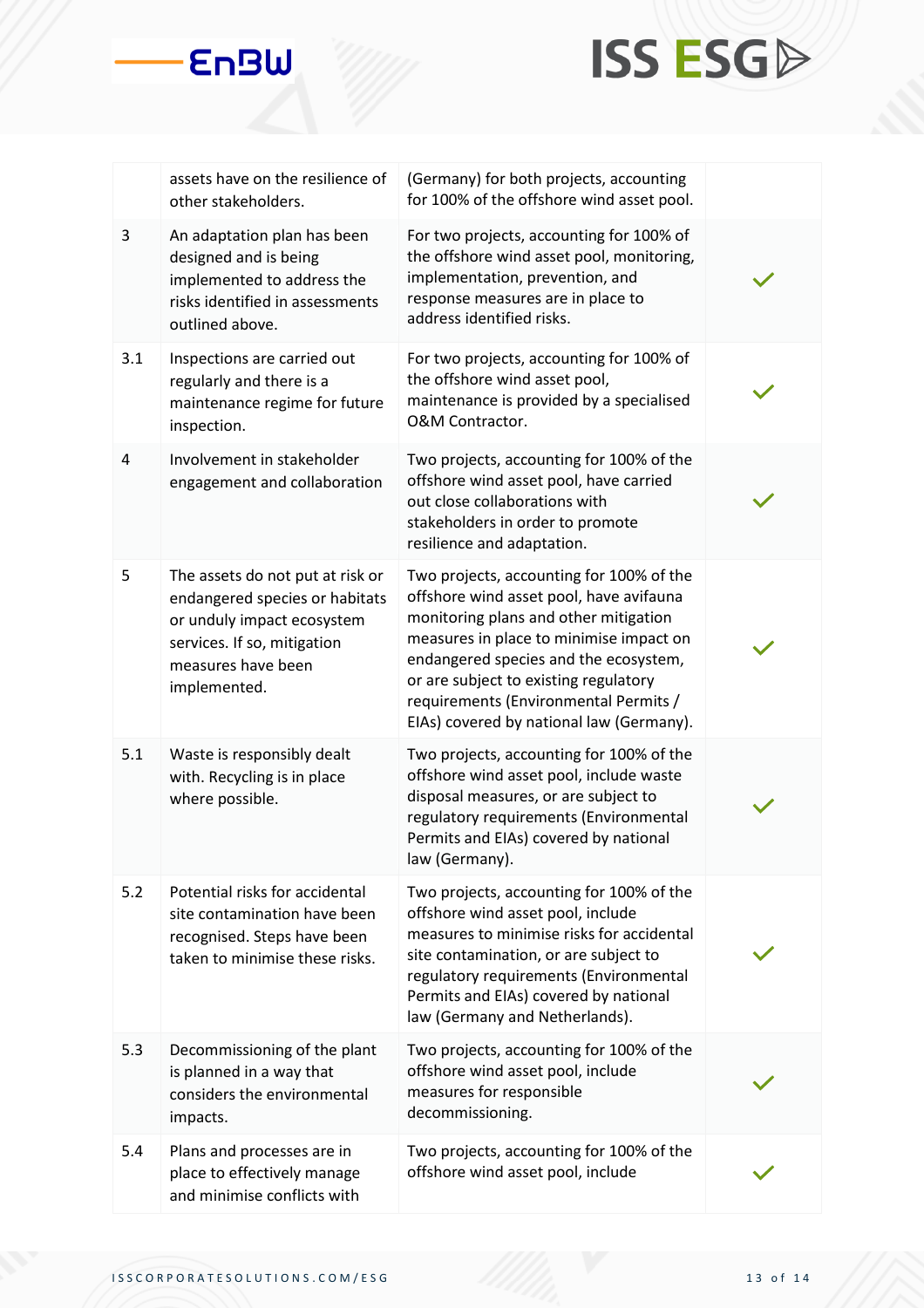# **ISS ESGA**

|     | assets have on the resilience of<br>other stakeholders.                                                                                                               | (Germany) for both projects, accounting<br>for 100% of the offshore wind asset pool.                                                                                                                                                                                                                                                           |  |
|-----|-----------------------------------------------------------------------------------------------------------------------------------------------------------------------|------------------------------------------------------------------------------------------------------------------------------------------------------------------------------------------------------------------------------------------------------------------------------------------------------------------------------------------------|--|
| 3   | An adaptation plan has been<br>designed and is being<br>implemented to address the<br>risks identified in assessments<br>outlined above.                              | For two projects, accounting for 100% of<br>the offshore wind asset pool, monitoring,<br>implementation, prevention, and<br>response measures are in place to<br>address identified risks.                                                                                                                                                     |  |
| 3.1 | Inspections are carried out<br>regularly and there is a<br>maintenance regime for future<br>inspection.                                                               | For two projects, accounting for 100% of<br>the offshore wind asset pool,<br>maintenance is provided by a specialised<br>O&M Contractor.                                                                                                                                                                                                       |  |
| 4   | Involvement in stakeholder<br>engagement and collaboration                                                                                                            | Two projects, accounting for 100% of the<br>offshore wind asset pool, have carried<br>out close collaborations with<br>stakeholders in order to promote<br>resilience and adaptation.                                                                                                                                                          |  |
| 5   | The assets do not put at risk or<br>endangered species or habitats<br>or unduly impact ecosystem<br>services. If so, mitigation<br>measures have been<br>implemented. | Two projects, accounting for 100% of the<br>offshore wind asset pool, have avifauna<br>monitoring plans and other mitigation<br>measures in place to minimise impact on<br>endangered species and the ecosystem,<br>or are subject to existing regulatory<br>requirements (Environmental Permits /<br>EIAs) covered by national law (Germany). |  |
| 5.1 | Waste is responsibly dealt<br>with. Recycling is in place<br>where possible.                                                                                          | Two projects, accounting for 100% of the<br>offshore wind asset pool, include waste<br>disposal measures, or are subject to<br>regulatory requirements (Environmental<br>Permits and EIAs) covered by national<br>law (Germany).                                                                                                               |  |
| 5.2 | Potential risks for accidental<br>site contamination have been<br>recognised. Steps have been<br>taken to minimise these risks.                                       | Two projects, accounting for 100% of the<br>offshore wind asset pool, include<br>measures to minimise risks for accidental<br>site contamination, or are subject to<br>regulatory requirements (Environmental<br>Permits and EIAs) covered by national<br>law (Germany and Netherlands).                                                       |  |
| 5.3 | Decommissioning of the plant<br>is planned in a way that<br>considers the environmental<br>impacts.                                                                   | Two projects, accounting for 100% of the<br>offshore wind asset pool, include<br>measures for responsible<br>decommissioning.                                                                                                                                                                                                                  |  |
| 5.4 | Plans and processes are in<br>place to effectively manage<br>and minimise conflicts with                                                                              | Two projects, accounting for 100% of the<br>offshore wind asset pool, include                                                                                                                                                                                                                                                                  |  |

**EnBW**